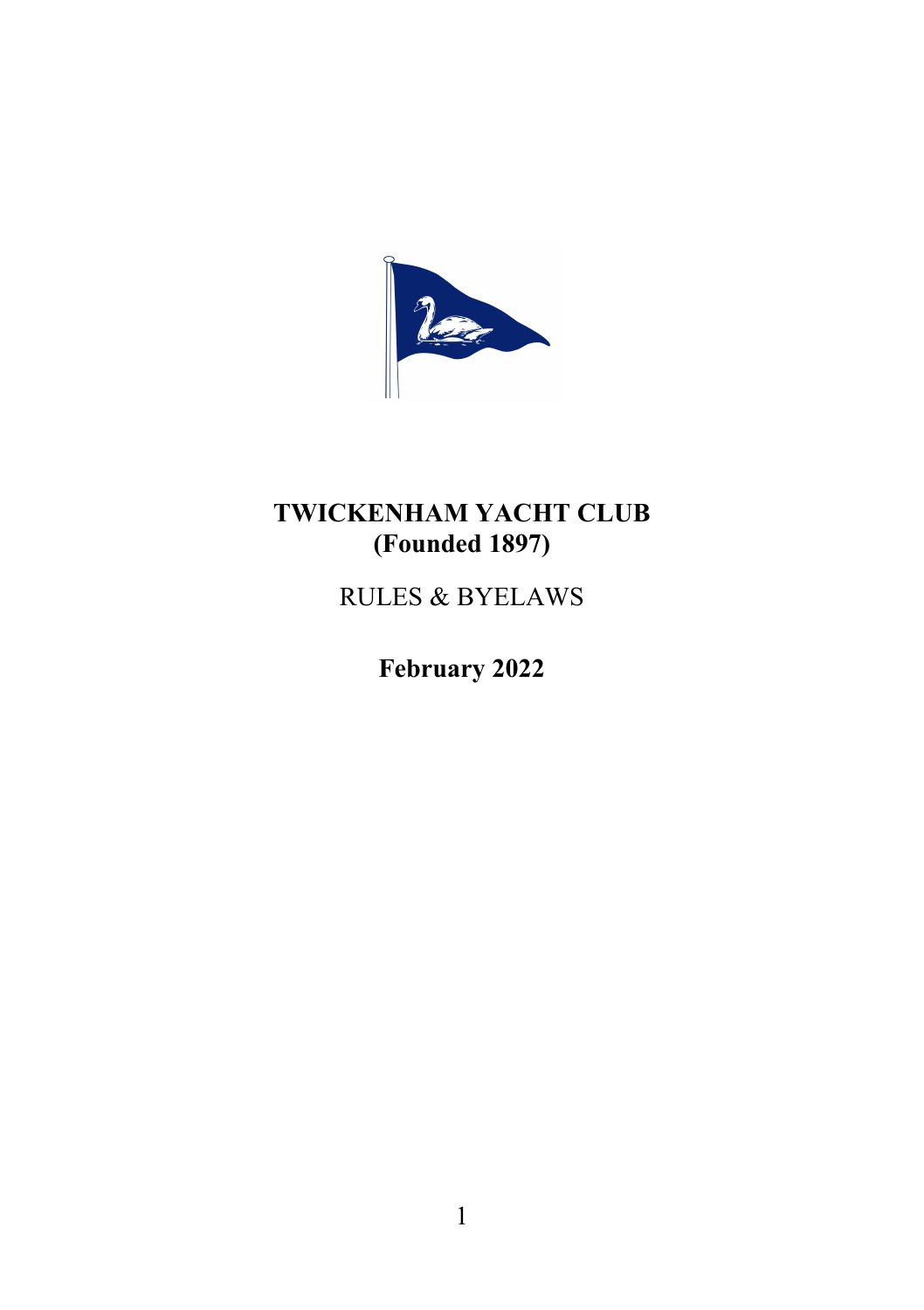

# TWICKENHAM YACHT CLUB (Founded 1897)

RULES & BYELAWS

February 2022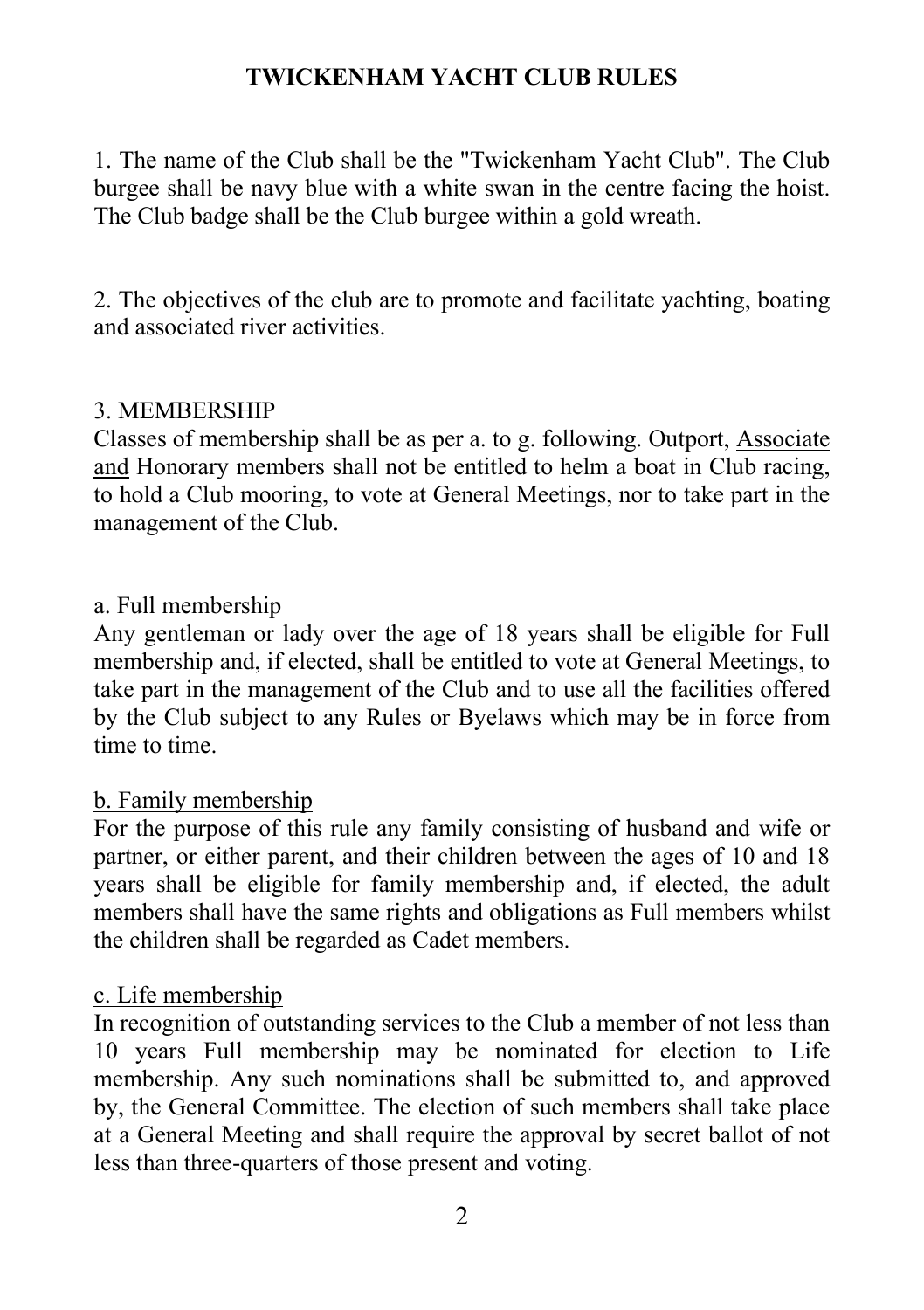# TWICKENHAM YACHT CLUB RULES

1. The name of the Club shall be the "Twickenham Yacht Club". The Club burgee shall be navy blue with a white swan in the centre facing the hoist. The Club badge shall be the Club burgee within a gold wreath.

2. The objectives of the club are to promote and facilitate yachting, boating and associated river activities.

### 3. MEMBERSHIP

Classes of membership shall be as per a. to g. following. Outport, Associate and Honorary members shall not be entitled to helm a boat in Club racing, to hold a Club mooring, to vote at General Meetings, nor to take part in the management of the Club.

### a. Full membership

Any gentleman or lady over the age of 18 years shall be eligible for Full membership and, if elected, shall be entitled to vote at General Meetings, to take part in the management of the Club and to use all the facilities offered by the Club subject to any Rules or Byelaws which may be in force from time to time.

### b. Family membership

For the purpose of this rule any family consisting of husband and wife or partner, or either parent, and their children between the ages of 10 and 18 years shall be eligible for family membership and, if elected, the adult members shall have the same rights and obligations as Full members whilst the children shall be regarded as Cadet members.

### c. Life membership

In recognition of outstanding services to the Club a member of not less than 10 years Full membership may be nominated for election to Life membership. Any such nominations shall be submitted to, and approved by, the General Committee. The election of such members shall take place at a General Meeting and shall require the approval by secret ballot of not less than three-quarters of those present and voting.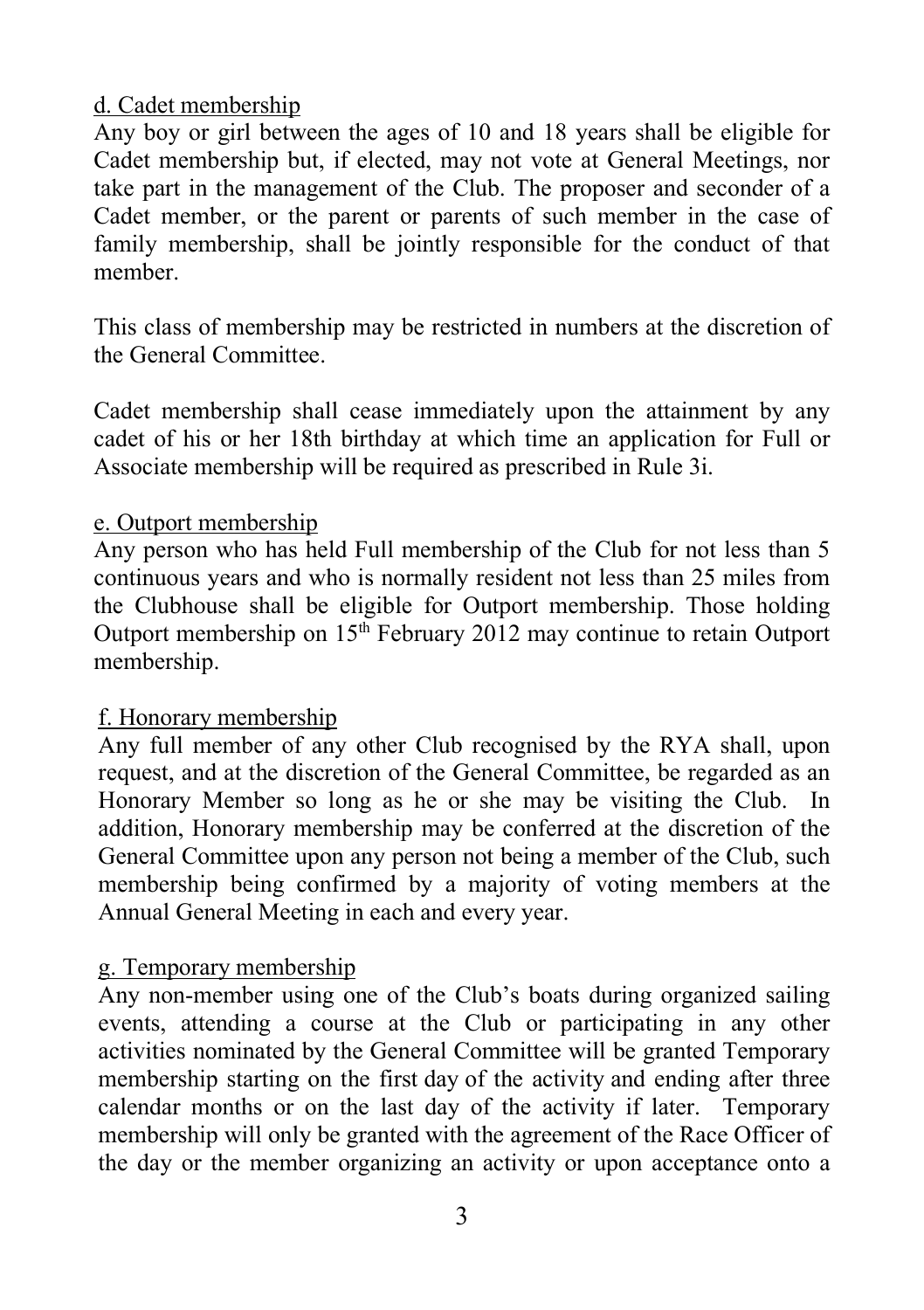## d. Cadet membership

Any boy or girl between the ages of 10 and 18 years shall be eligible for Cadet membership but, if elected, may not vote at General Meetings, nor take part in the management of the Club. The proposer and seconder of a Cadet member, or the parent or parents of such member in the case of family membership, shall be jointly responsible for the conduct of that member.

This class of membership may be restricted in numbers at the discretion of the General Committee.

Cadet membership shall cease immediately upon the attainment by any cadet of his or her 18th birthday at which time an application for Full or Associate membership will be required as prescribed in Rule 3i.

### e. Outport membership

Any person who has held Full membership of the Club for not less than 5 continuous years and who is normally resident not less than 25 miles from the Clubhouse shall be eligible for Outport membership. Those holding Outport membership on  $15<sup>th</sup>$  February 2012 may continue to retain Outport membership.

## f. Honorary membership

Any full member of any other Club recognised by the RYA shall, upon request, and at the discretion of the General Committee, be regarded as an Honorary Member so long as he or she may be visiting the Club. In addition, Honorary membership may be conferred at the discretion of the General Committee upon any person not being a member of the Club, such membership being confirmed by a majority of voting members at the Annual General Meeting in each and every year.

## g. Temporary membership

Any non-member using one of the Club's boats during organized sailing events, attending a course at the Club or participating in any other activities nominated by the General Committee will be granted Temporary membership starting on the first day of the activity and ending after three calendar months or on the last day of the activity if later. Temporary membership will only be granted with the agreement of the Race Officer of the day or the member organizing an activity or upon acceptance onto a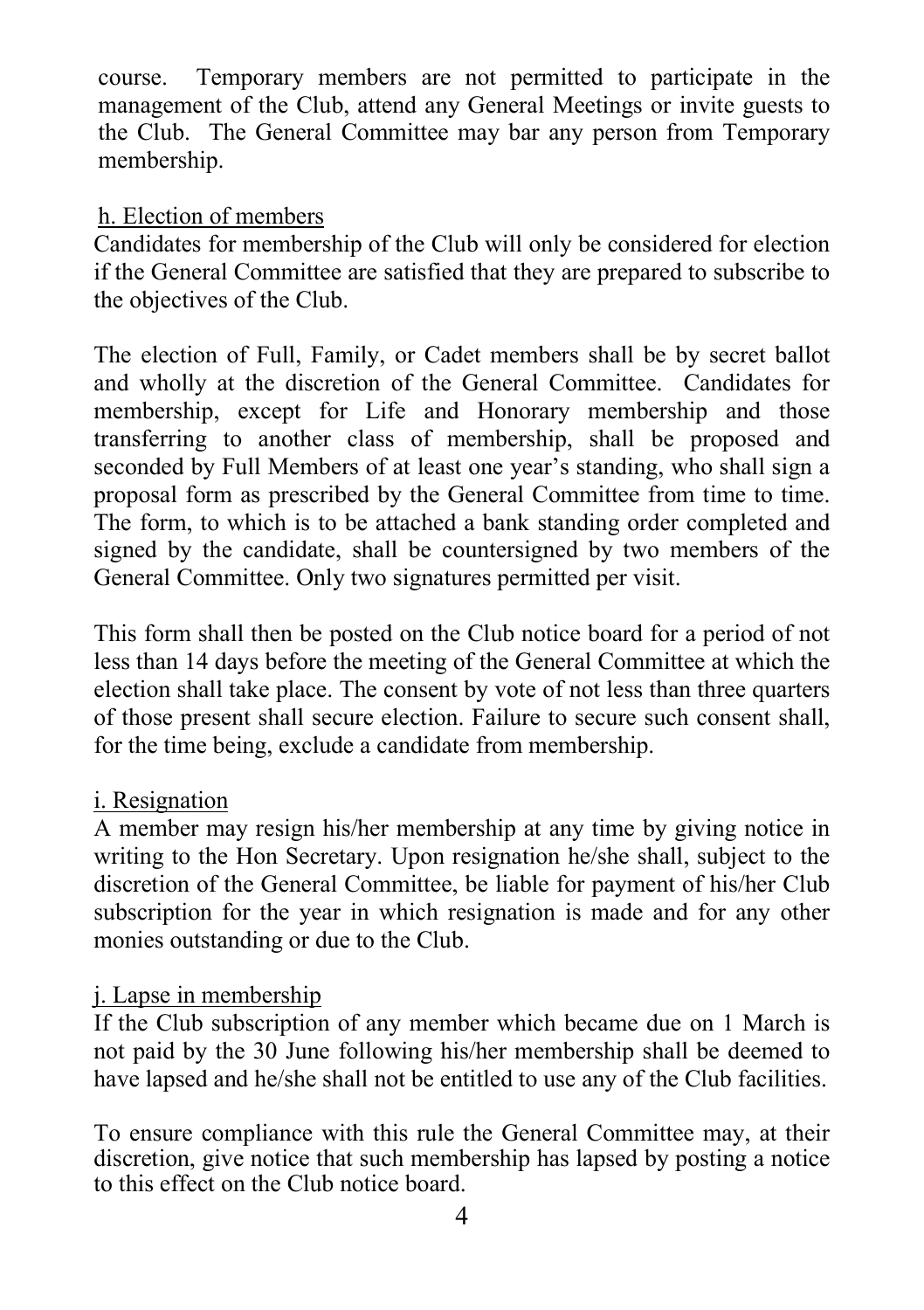course. Temporary members are not permitted to participate in the management of the Club, attend any General Meetings or invite guests to the Club. The General Committee may bar any person from Temporary membership.

### h. Election of members

Candidates for membership of the Club will only be considered for election if the General Committee are satisfied that they are prepared to subscribe to the objectives of the Club.

The election of Full, Family, or Cadet members shall be by secret ballot and wholly at the discretion of the General Committee. Candidates for membership, except for Life and Honorary membership and those transferring to another class of membership, shall be proposed and seconded by Full Members of at least one year's standing, who shall sign a proposal form as prescribed by the General Committee from time to time. The form, to which is to be attached a bank standing order completed and signed by the candidate, shall be countersigned by two members of the General Committee. Only two signatures permitted per visit.

This form shall then be posted on the Club notice board for a period of not less than 14 days before the meeting of the General Committee at which the election shall take place. The consent by vote of not less than three quarters of those present shall secure election. Failure to secure such consent shall, for the time being, exclude a candidate from membership.

## i. Resignation

A member may resign his/her membership at any time by giving notice in writing to the Hon Secretary. Upon resignation he/she shall, subject to the discretion of the General Committee, be liable for payment of his/her Club subscription for the year in which resignation is made and for any other monies outstanding or due to the Club.

## j. Lapse in membership

If the Club subscription of any member which became due on 1 March is not paid by the 30 June following his/her membership shall be deemed to have lapsed and he/she shall not be entitled to use any of the Club facilities.

To ensure compliance with this rule the General Committee may, at their discretion, give notice that such membership has lapsed by posting a notice to this effect on the Club notice board.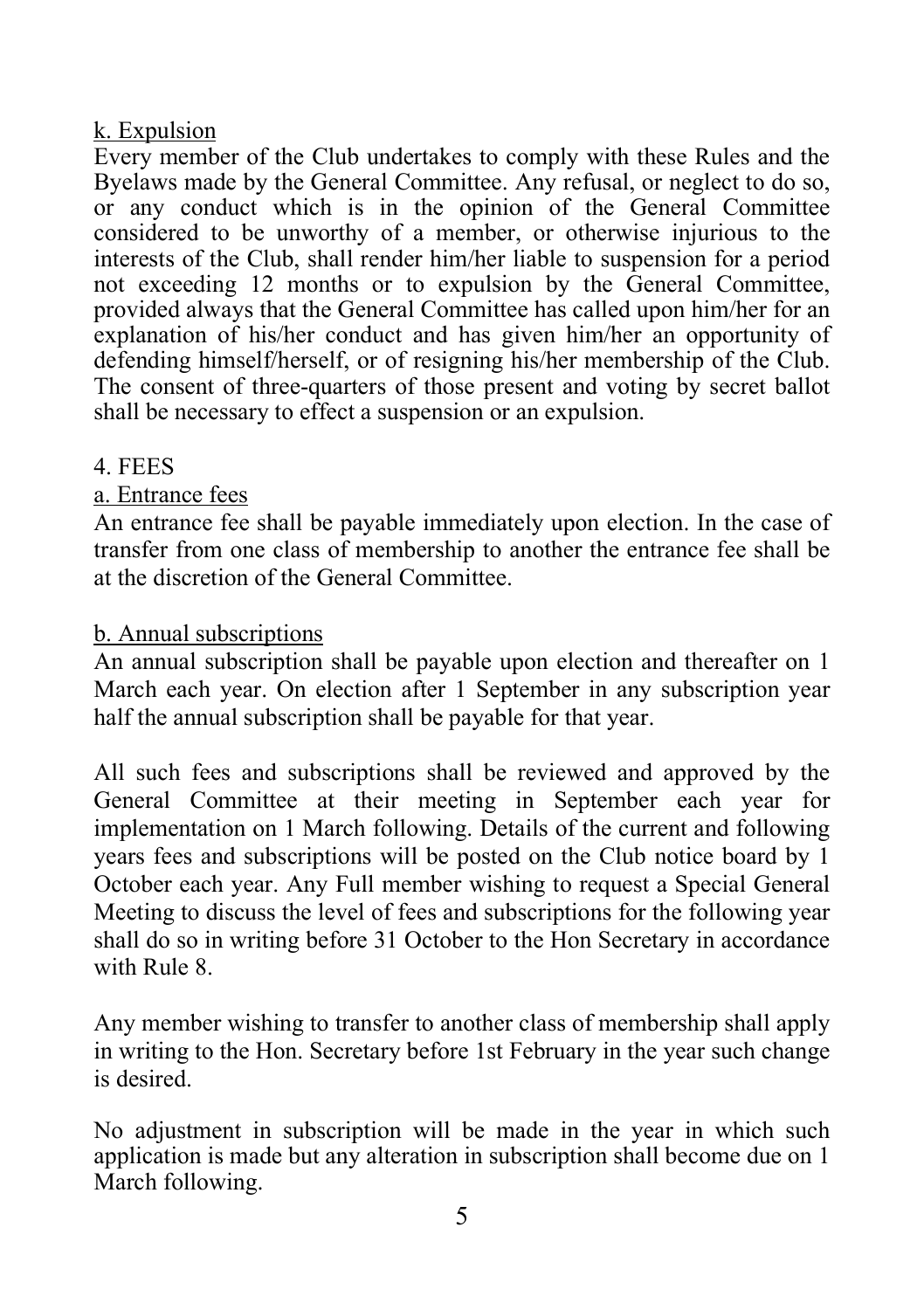# k. Expulsion

Every member of the Club undertakes to comply with these Rules and the Byelaws made by the General Committee. Any refusal, or neglect to do so, or any conduct which is in the opinion of the General Committee considered to be unworthy of a member, or otherwise injurious to the interests of the Club, shall render him/her liable to suspension for a period not exceeding 12 months or to expulsion by the General Committee, provided always that the General Committee has called upon him/her for an explanation of his/her conduct and has given him/her an opportunity of defending himself/herself, or of resigning his/her membership of the Club. The consent of three-quarters of those present and voting by secret ballot shall be necessary to effect a suspension or an expulsion.

# 4. FEES

# a. Entrance fees

An entrance fee shall be payable immediately upon election. In the case of transfer from one class of membership to another the entrance fee shall be at the discretion of the General Committee.

# b. Annual subscriptions

An annual subscription shall be payable upon election and thereafter on 1 March each year. On election after 1 September in any subscription year half the annual subscription shall be payable for that year.

All such fees and subscriptions shall be reviewed and approved by the General Committee at their meeting in September each year for implementation on 1 March following. Details of the current and following years fees and subscriptions will be posted on the Club notice board by 1 October each year. Any Full member wishing to request a Special General Meeting to discuss the level of fees and subscriptions for the following year shall do so in writing before 31 October to the Hon Secretary in accordance with Rule 8.

Any member wishing to transfer to another class of membership shall apply in writing to the Hon. Secretary before 1st February in the year such change is desired.

No adjustment in subscription will be made in the year in which such application is made but any alteration in subscription shall become due on 1 March following.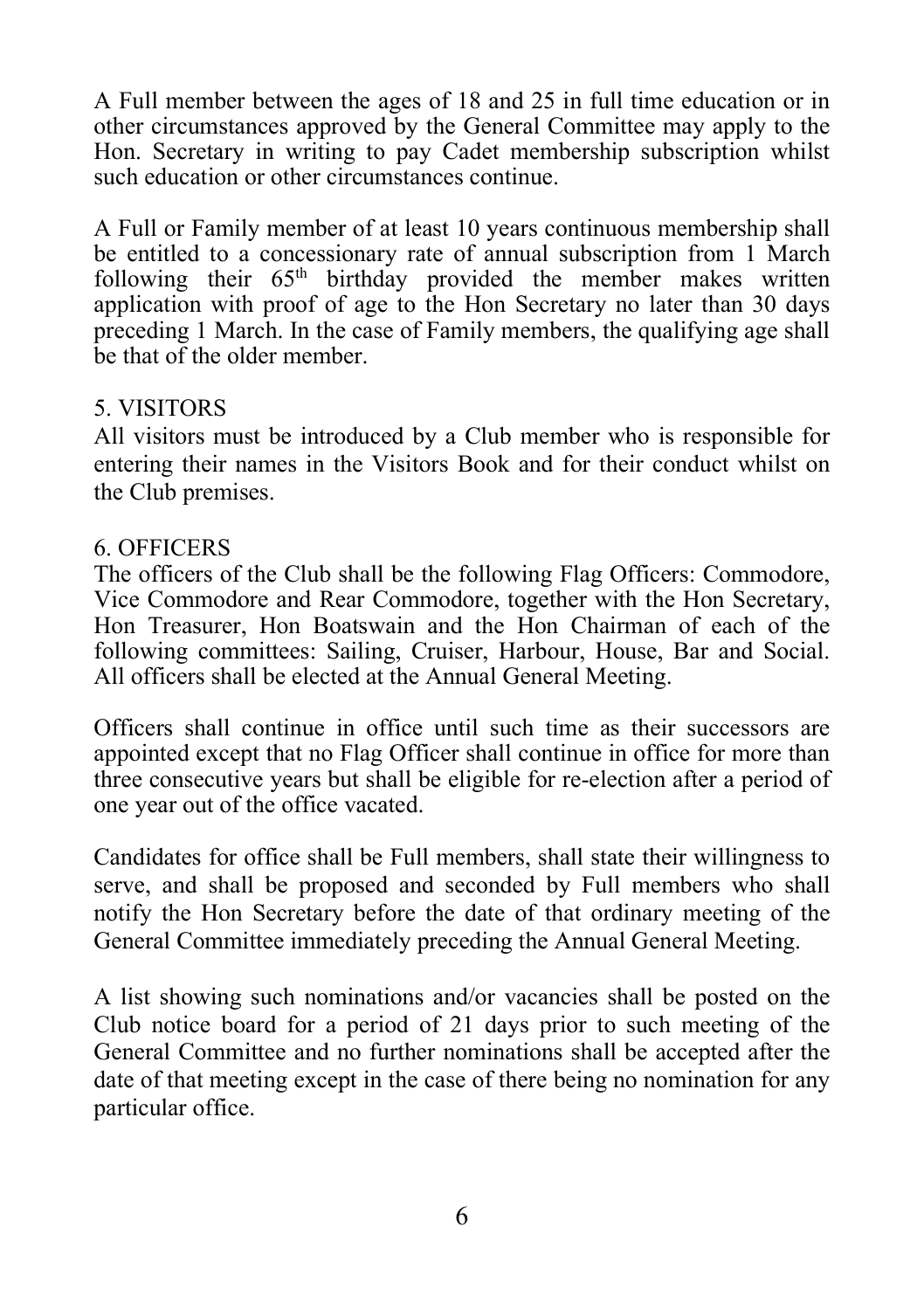A Full member between the ages of 18 and 25 in full time education or in other circumstances approved by the General Committee may apply to the Hon. Secretary in writing to pay Cadet membership subscription whilst such education or other circumstances continue.

A Full or Family member of at least 10 years continuous membership shall be entitled to a concessionary rate of annual subscription from 1 March following their 65<sup>th</sup> birthday provided the member makes written application with proof of age to the Hon Secretary no later than 30 days preceding 1 March. In the case of Family members, the qualifying age shall be that of the older member.

# 5. VISITORS

All visitors must be introduced by a Club member who is responsible for entering their names in the Visitors Book and for their conduct whilst on the Club premises.

## 6. OFFICERS

The officers of the Club shall be the following Flag Officers: Commodore, Vice Commodore and Rear Commodore, together with the Hon Secretary, Hon Treasurer, Hon Boatswain and the Hon Chairman of each of the following committees: Sailing, Cruiser, Harbour, House, Bar and Social. All officers shall be elected at the Annual General Meeting.

Officers shall continue in office until such time as their successors are appointed except that no Flag Officer shall continue in office for more than three consecutive years but shall be eligible for re-election after a period of one year out of the office vacated.

Candidates for office shall be Full members, shall state their willingness to serve, and shall be proposed and seconded by Full members who shall notify the Hon Secretary before the date of that ordinary meeting of the General Committee immediately preceding the Annual General Meeting.

A list showing such nominations and/or vacancies shall be posted on the Club notice board for a period of 21 days prior to such meeting of the General Committee and no further nominations shall be accepted after the date of that meeting except in the case of there being no nomination for any particular office.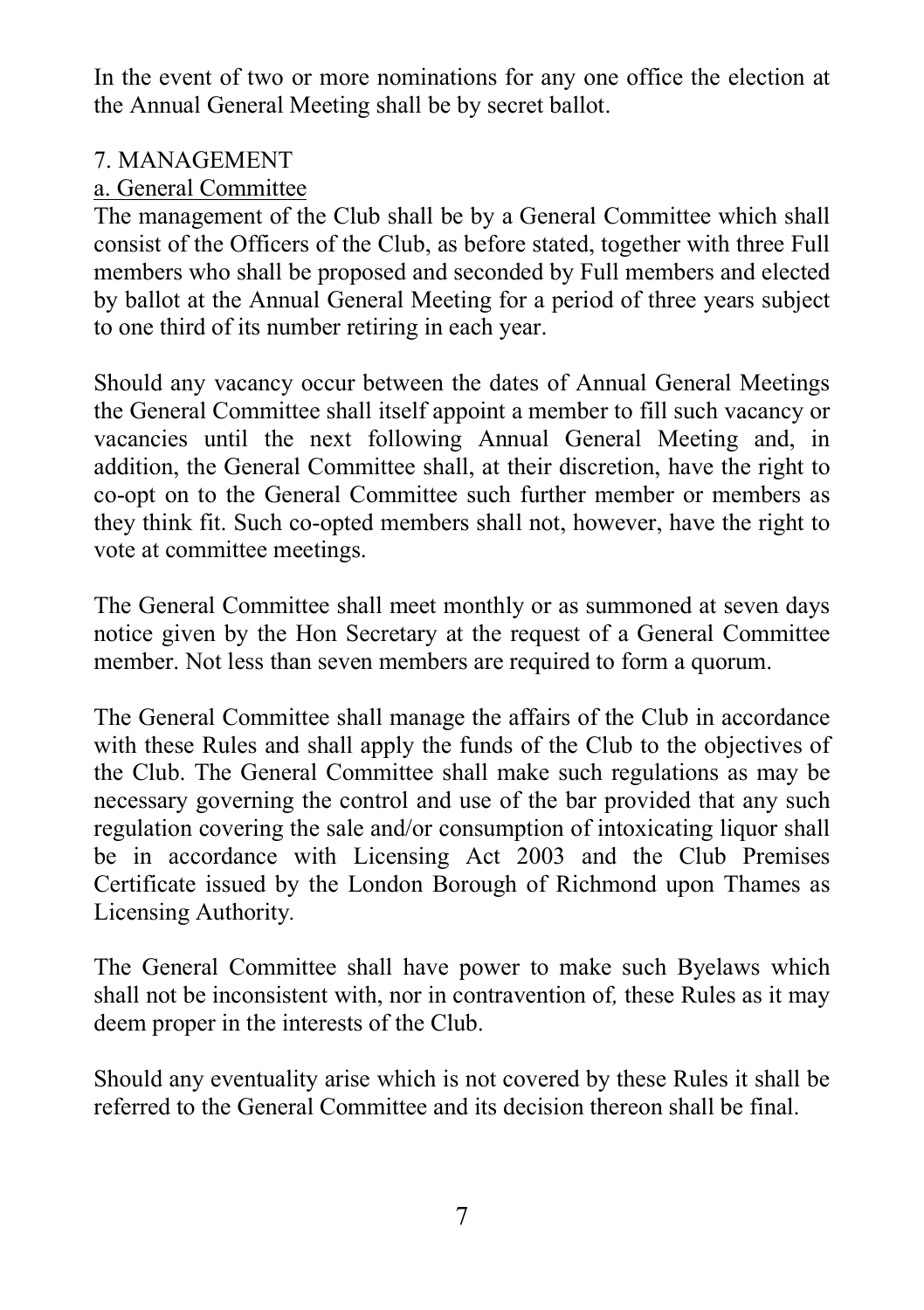In the event of two or more nominations for any one office the election at the Annual General Meeting shall be by secret ballot.

# 7. MANAGEMENT

# a. General Committee

The management of the Club shall be by a General Committee which shall consist of the Officers of the Club, as before stated, together with three Full members who shall be proposed and seconded by Full members and elected by ballot at the Annual General Meeting for a period of three years subject to one third of its number retiring in each year.

Should any vacancy occur between the dates of Annual General Meetings the General Committee shall itself appoint a member to fill such vacancy or vacancies until the next following Annual General Meeting and, in addition, the General Committee shall, at their discretion, have the right to co-opt on to the General Committee such further member or members as they think fit. Such co-opted members shall not, however, have the right to vote at committee meetings.

The General Committee shall meet monthly or as summoned at seven days notice given by the Hon Secretary at the request of a General Committee member. Not less than seven members are required to form a quorum.

The General Committee shall manage the affairs of the Club in accordance with these Rules and shall apply the funds of the Club to the objectives of the Club. The General Committee shall make such regulations as may be necessary governing the control and use of the bar provided that any such regulation covering the sale and/or consumption of intoxicating liquor shall be in accordance with Licensing Act 2003 and the Club Premises Certificate issued by the London Borough of Richmond upon Thames as Licensing Authority.

The General Committee shall have power to make such Byelaws which shall not be inconsistent with, nor in contravention of, these Rules as it may deem proper in the interests of the Club.

Should any eventuality arise which is not covered by these Rules it shall be referred to the General Committee and its decision thereon shall be final.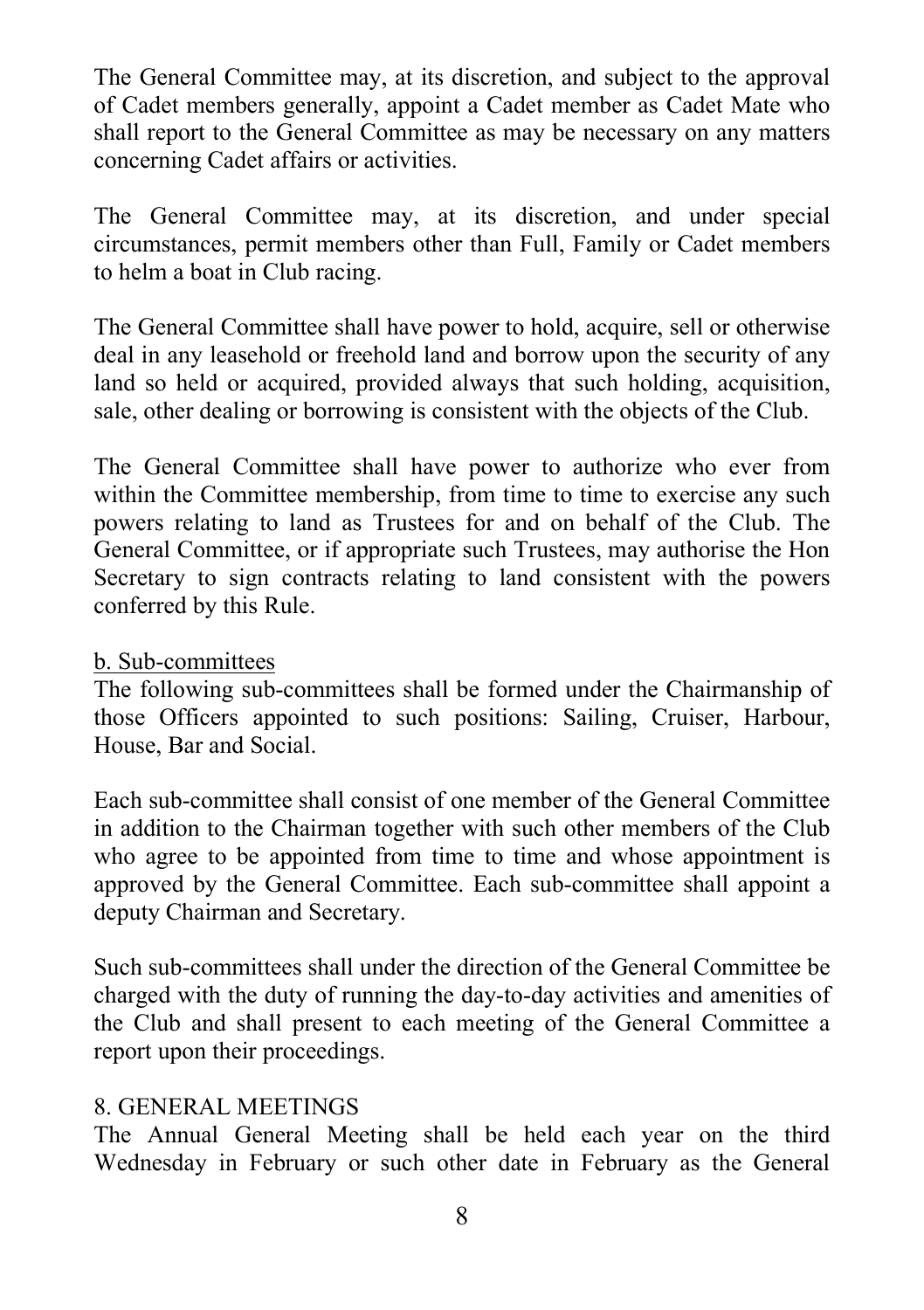The General Committee may, at its discretion, and subject to the approval of Cadet members generally, appoint a Cadet member as Cadet Mate who shall report to the General Committee as may be necessary on any matters concerning Cadet affairs or activities.

The General Committee may, at its discretion, and under special circumstances, permit members other than Full, Family or Cadet members to helm a boat in Club racing.

The General Committee shall have power to hold, acquire, sell or otherwise deal in any leasehold or freehold land and borrow upon the security of any land so held or acquired, provided always that such holding, acquisition, sale, other dealing or borrowing is consistent with the objects of the Club.

The General Committee shall have power to authorize who ever from within the Committee membership, from time to time to exercise any such powers relating to land as Trustees for and on behalf of the Club. The General Committee, or if appropriate such Trustees, may authorise the Hon Secretary to sign contracts relating to land consistent with the powers conferred by this Rule.

### b. Sub-committees

The following sub-committees shall be formed under the Chairmanship of those Officers appointed to such positions: Sailing, Cruiser, Harbour, House, Bar and Social.

Each sub-committee shall consist of one member of the General Committee in addition to the Chairman together with such other members of the Club who agree to be appointed from time to time and whose appointment is approved by the General Committee. Each sub-committee shall appoint a deputy Chairman and Secretary.

Such sub-committees shall under the direction of the General Committee be charged with the duty of running the day-to-day activities and amenities of the Club and shall present to each meeting of the General Committee a report upon their proceedings.

## 8. GENERAL MEETINGS

The Annual General Meeting shall be held each year on the third Wednesday in February or such other date in February as the General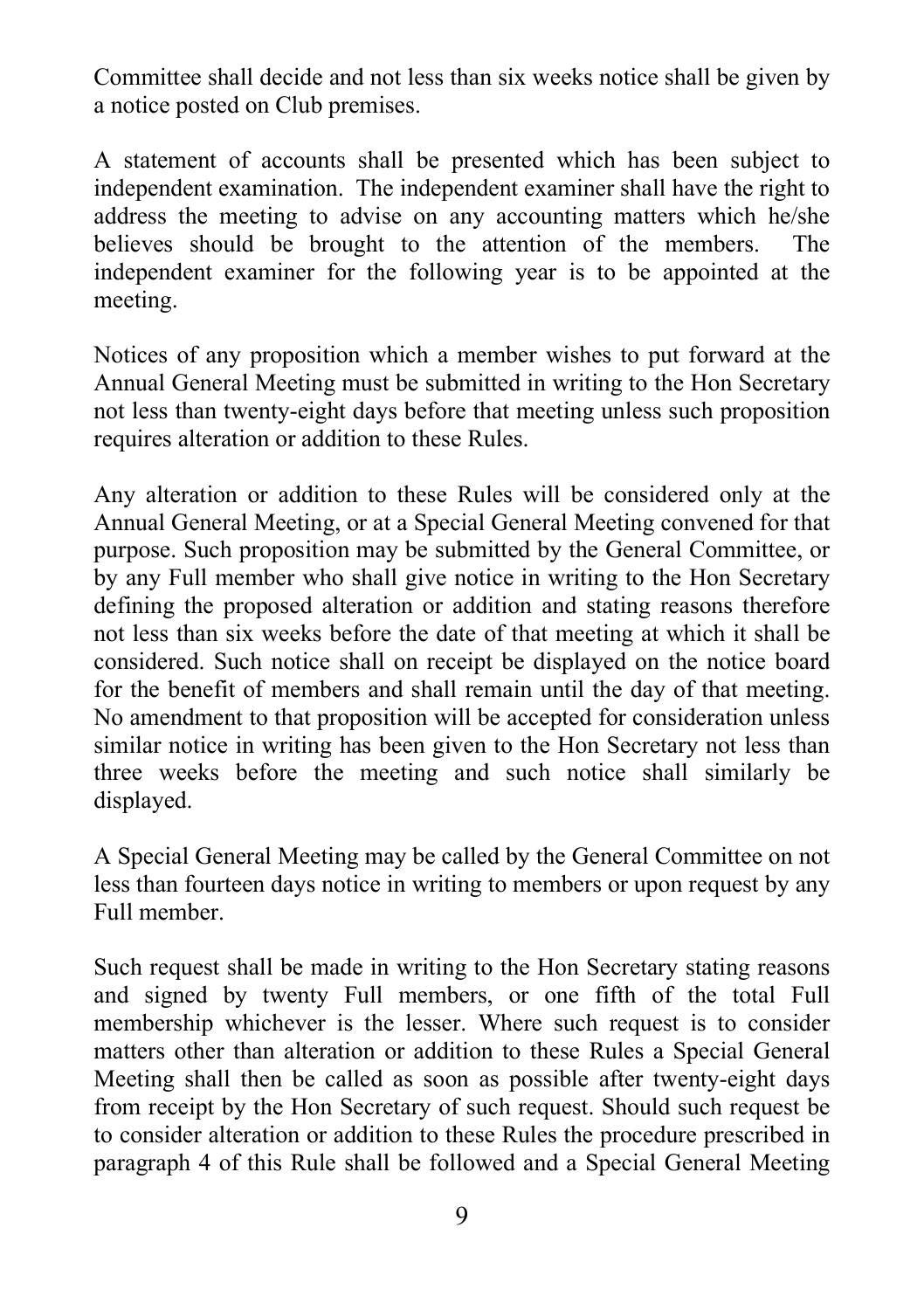Committee shall decide and not less than six weeks notice shall be given by a notice posted on Club premises.

A statement of accounts shall be presented which has been subject to independent examination. The independent examiner shall have the right to address the meeting to advise on any accounting matters which he/she believes should be brought to the attention of the members. The independent examiner for the following year is to be appointed at the meeting.

Notices of any proposition which a member wishes to put forward at the Annual General Meeting must be submitted in writing to the Hon Secretary not less than twenty-eight days before that meeting unless such proposition requires alteration or addition to these Rules.

Any alteration or addition to these Rules will be considered only at the Annual General Meeting, or at a Special General Meeting convened for that purpose. Such proposition may be submitted by the General Committee, or by any Full member who shall give notice in writing to the Hon Secretary defining the proposed alteration or addition and stating reasons therefore not less than six weeks before the date of that meeting at which it shall be considered. Such notice shall on receipt be displayed on the notice board for the benefit of members and shall remain until the day of that meeting. No amendment to that proposition will be accepted for consideration unless similar notice in writing has been given to the Hon Secretary not less than three weeks before the meeting and such notice shall similarly be displayed.

A Special General Meeting may be called by the General Committee on not less than fourteen days notice in writing to members or upon request by any Full member.

Such request shall be made in writing to the Hon Secretary stating reasons and signed by twenty Full members, or one fifth of the total Full membership whichever is the lesser. Where such request is to consider matters other than alteration or addition to these Rules a Special General Meeting shall then be called as soon as possible after twenty-eight days from receipt by the Hon Secretary of such request. Should such request be to consider alteration or addition to these Rules the procedure prescribed in paragraph 4 of this Rule shall be followed and a Special General Meeting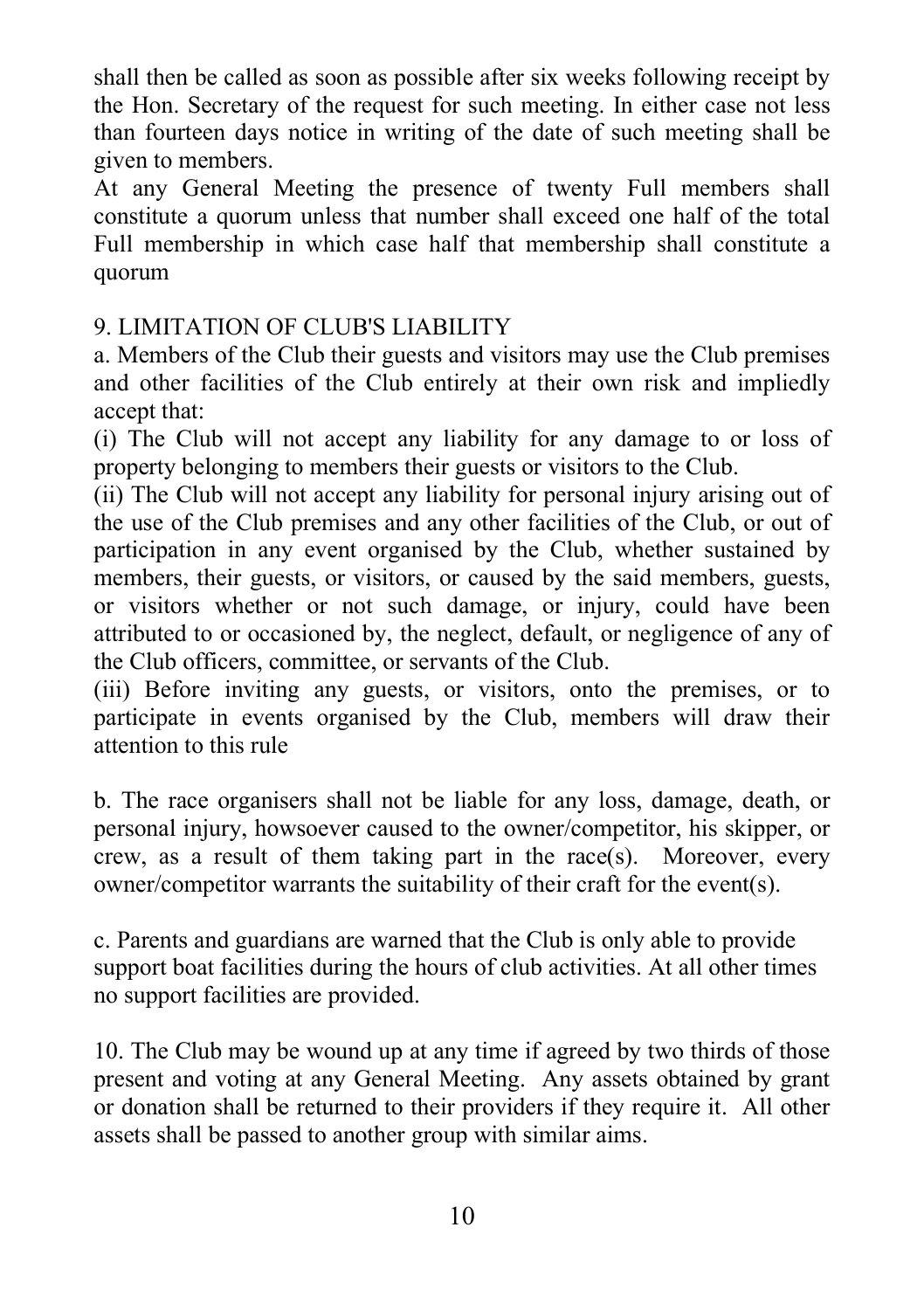shall then be called as soon as possible after six weeks following receipt by the Hon. Secretary of the request for such meeting. In either case not less than fourteen days notice in writing of the date of such meeting shall be given to members.

At any General Meeting the presence of twenty Full members shall constitute a quorum unless that number shall exceed one half of the total Full membership in which case half that membership shall constitute a quorum

# 9. LIMITATION OF CLUB'S LIABILITY

a. Members of the Club their guests and visitors may use the Club premises and other facilities of the Club entirely at their own risk and impliedly accept that:

(i) The Club will not accept any liability for any damage to or loss of property belonging to members their guests or visitors to the Club.

(ii) The Club will not accept any liability for personal injury arising out of the use of the Club premises and any other facilities of the Club, or out of participation in any event organised by the Club, whether sustained by members, their guests, or visitors, or caused by the said members, guests, or visitors whether or not such damage, or injury, could have been attributed to or occasioned by, the neglect, default, or negligence of any of the Club officers, committee, or servants of the Club.

(iii) Before inviting any guests, or visitors, onto the premises, or to participate in events organised by the Club, members will draw their attention to this rule

b. The race organisers shall not be liable for any loss, damage, death, or personal injury, howsoever caused to the owner/competitor, his skipper, or crew, as a result of them taking part in the race(s). Moreover, every owner/competitor warrants the suitability of their craft for the event(s).

c. Parents and guardians are warned that the Club is only able to provide support boat facilities during the hours of club activities. At all other times no support facilities are provided.

10. The Club may be wound up at any time if agreed by two thirds of those present and voting at any General Meeting. Any assets obtained by grant or donation shall be returned to their providers if they require it. All other assets shall be passed to another group with similar aims.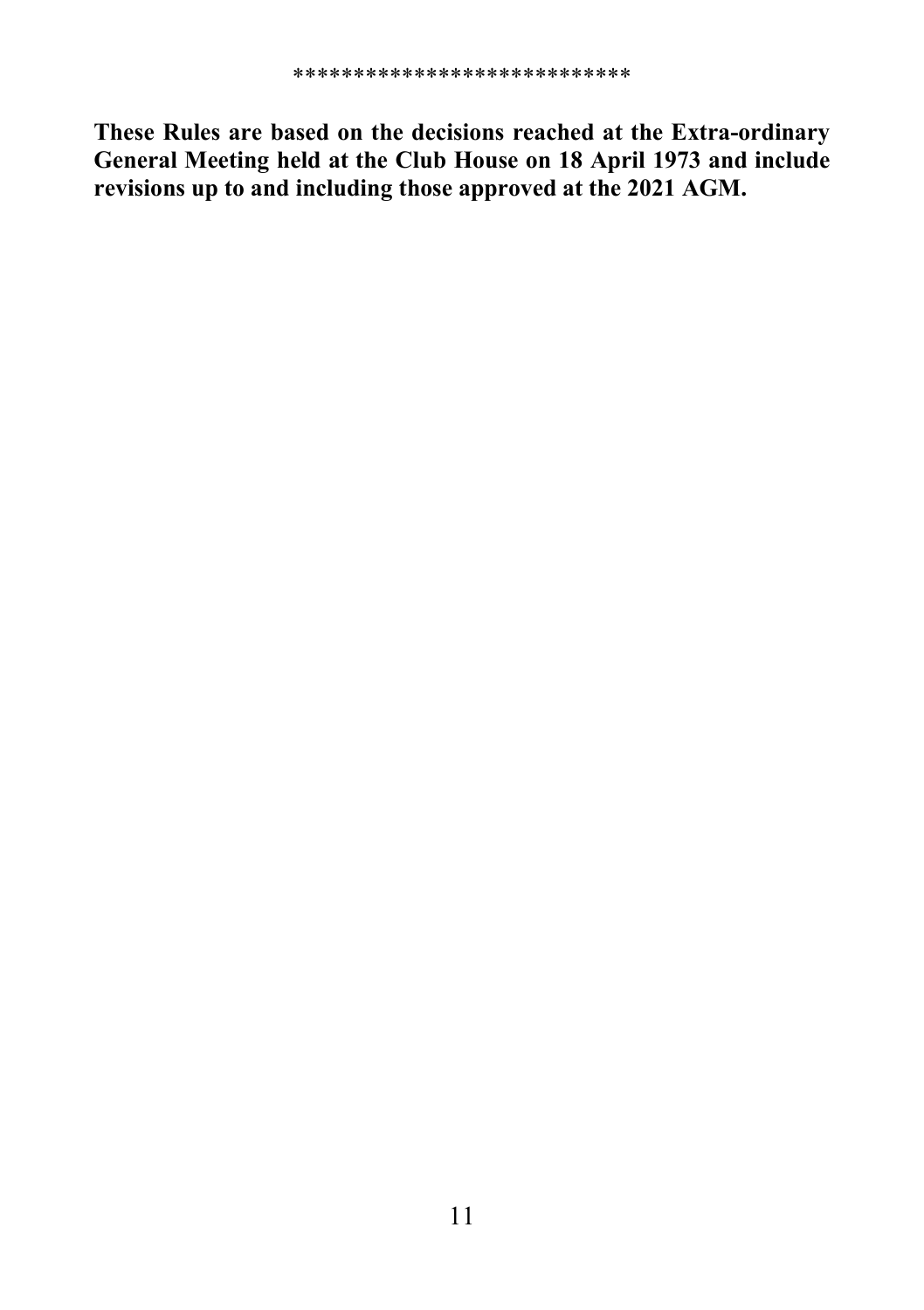These Rules are based on the decisions reached at the Extra-ordinary General Meeting held at the Club House on 18 April 1973 and include revisions up to and including those approved at the 2021 AGM.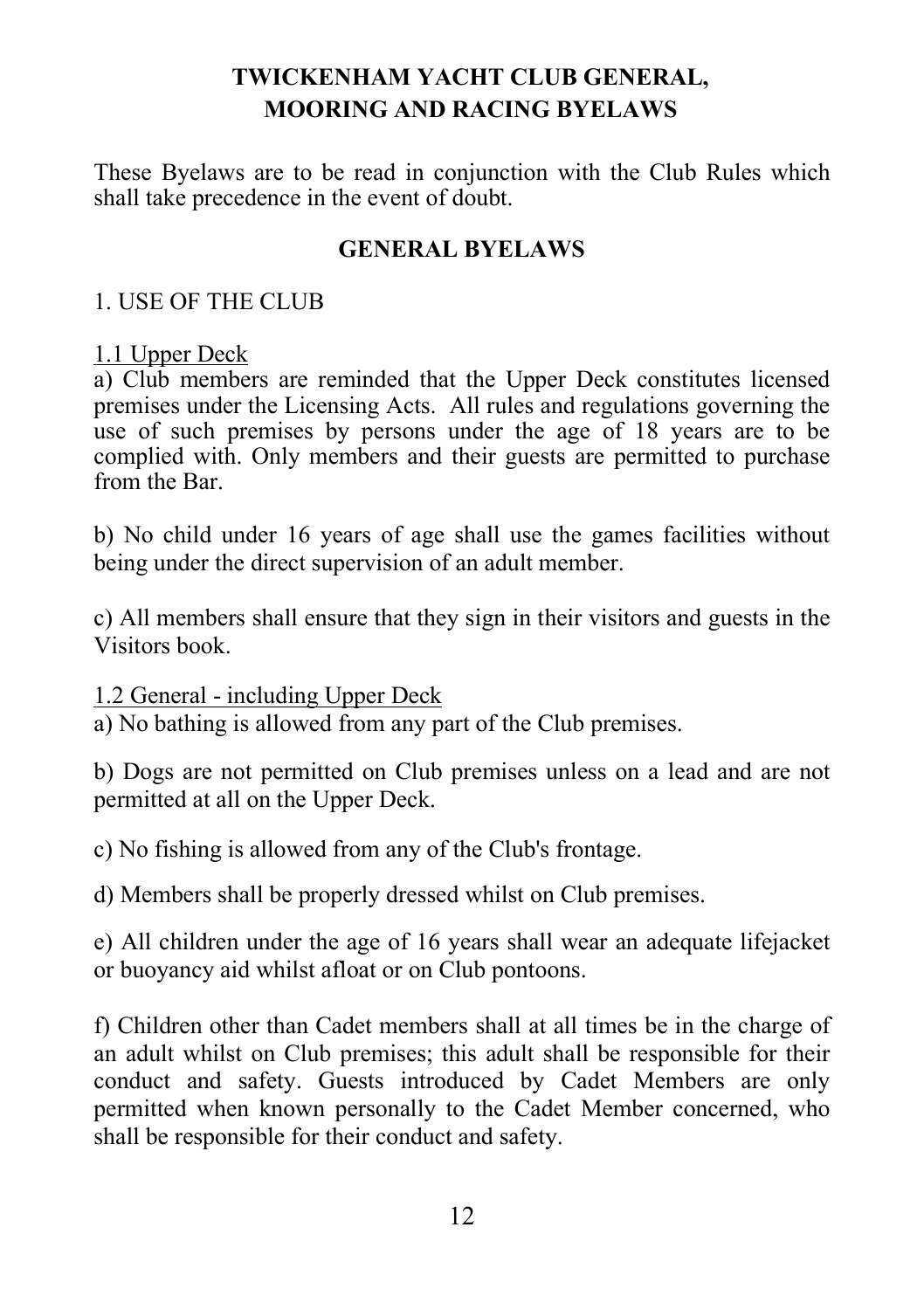# TWICKENHAM YACHT CLUB GENERAL, MOORING AND RACING BYELAWS

These Byelaws are to be read in conjunction with the Club Rules which shall take precedence in the event of doubt.

## GENERAL BYELAWS

### 1. USE OF THE CLUB

### 1.1 Upper Deck

a) Club members are reminded that the Upper Deck constitutes licensed premises under the Licensing Acts. All rules and regulations governing the use of such premises by persons under the age of 18 years are to be complied with. Only members and their guests are permitted to purchase from the Bar.

b) No child under 16 years of age shall use the games facilities without being under the direct supervision of an adult member.

c) All members shall ensure that they sign in their visitors and guests in the Visitors book.

1.2 General - including Upper Deck

a) No bathing is allowed from any part of the Club premises.

b) Dogs are not permitted on Club premises unless on a lead and are not permitted at all on the Upper Deck.

c) No fishing is allowed from any of the Club's frontage.

d) Members shall be properly dressed whilst on Club premises.

e) All children under the age of 16 years shall wear an adequate lifejacket or buoyancy aid whilst afloat or on Club pontoons.

f) Children other than Cadet members shall at all times be in the charge of an adult whilst on Club premises; this adult shall be responsible for their conduct and safety. Guests introduced by Cadet Members are only permitted when known personally to the Cadet Member concerned, who shall be responsible for their conduct and safety.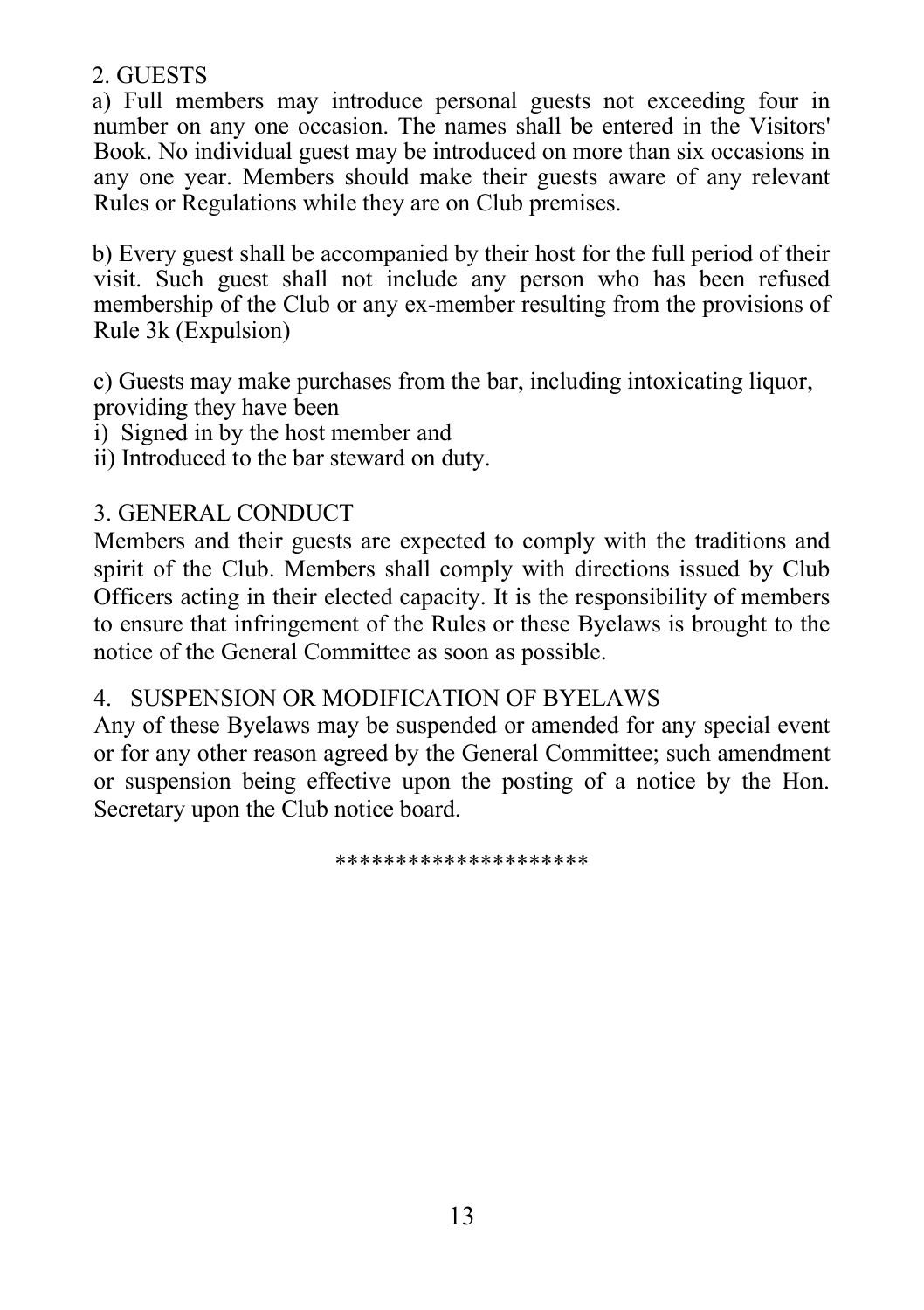2. GUESTS

a) Full members may introduce personal guests not exceeding four in number on any one occasion. The names shall be entered in the Visitors' Book. No individual guest may be introduced on more than six occasions in any one year. Members should make their guests aware of any relevant Rules or Regulations while they are on Club premises.

b) Every guest shall be accompanied by their host for the full period of their visit. Such guest shall not include any person who has been refused membership of the Club or any ex-member resulting from the provisions of Rule 3k (Expulsion)

 c) Guests may make purchases from the bar, including intoxicating liquor, providing they have been

i) Signed in by the host member and

ii) Introduced to the bar steward on duty.

# 3. GENERAL CONDUCT

Members and their guests are expected to comply with the traditions and spirit of the Club. Members shall comply with directions issued by Club Officers acting in their elected capacity. It is the responsibility of members to ensure that infringement of the Rules or these Byelaws is brought to the notice of the General Committee as soon as possible.

# 4. SUSPENSION OR MODIFICATION OF BYELAWS

Any of these Byelaws may be suspended or amended for any special event or for any other reason agreed by the General Committee; such amendment or suspension being effective upon the posting of a notice by the Hon. Secretary upon the Club notice board.

\*\*\*\*\*\*\*\*\*\*\*\*\*\*\*\*\*\*\*\*\*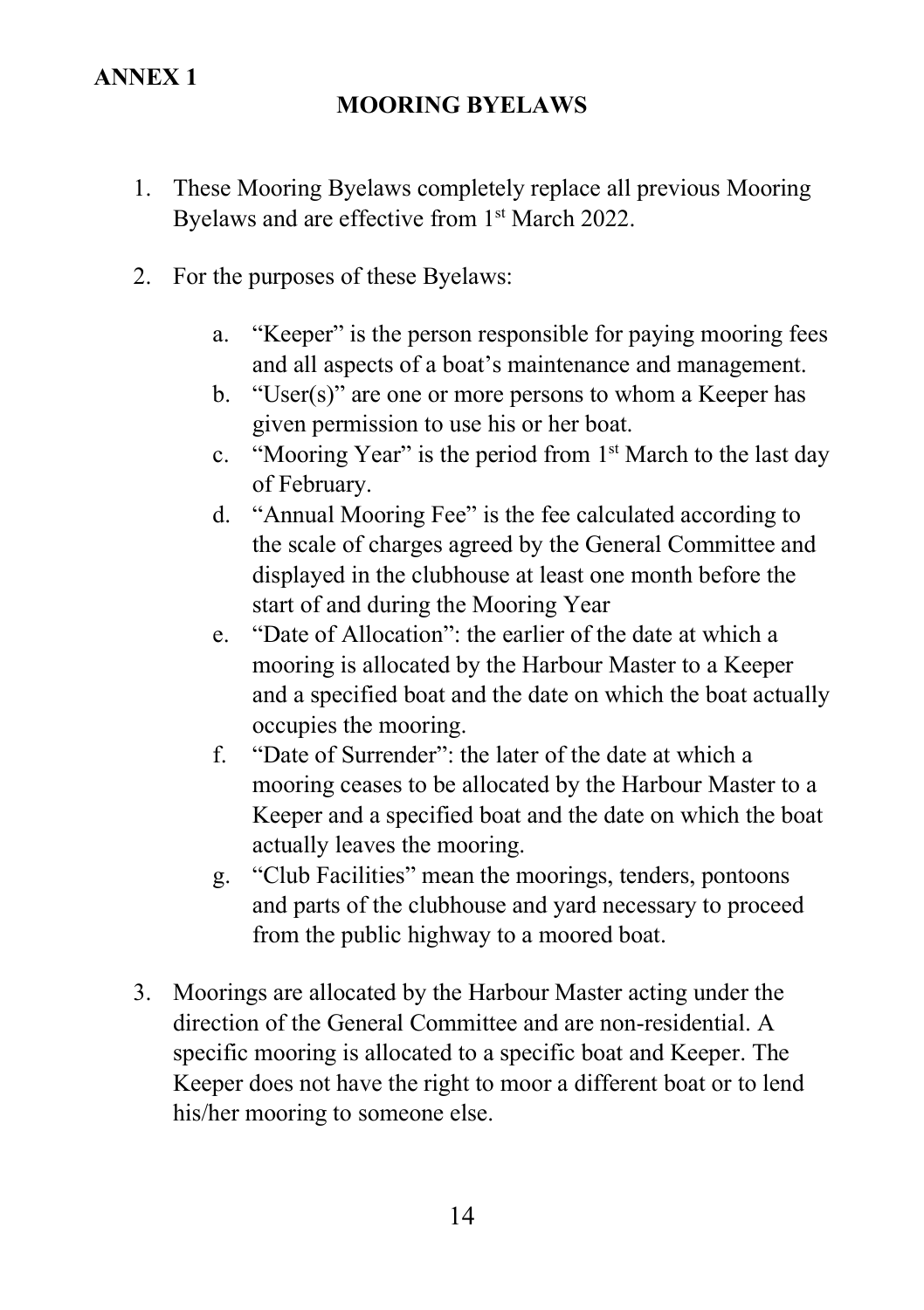# ANNEX 1

# MOORING BYELAWS

- 1. These Mooring Byelaws completely replace all previous Mooring Byelaws and are effective from 1<sup>st</sup> March 2022.
- 2. For the purposes of these Byelaws:
	- a. "Keeper" is the person responsible for paying mooring fees and all aspects of a boat's maintenance and management.
	- b. "User(s)" are one or more persons to whom a Keeper has given permission to use his or her boat.
	- c. "Mooring Year" is the period from 1st March to the last day of February.
	- d. "Annual Mooring Fee" is the fee calculated according to the scale of charges agreed by the General Committee and displayed in the clubhouse at least one month before the start of and during the Mooring Year
	- e. "Date of Allocation": the earlier of the date at which a mooring is allocated by the Harbour Master to a Keeper and a specified boat and the date on which the boat actually occupies the mooring.
	- f. "Date of Surrender": the later of the date at which a mooring ceases to be allocated by the Harbour Master to a Keeper and a specified boat and the date on which the boat actually leaves the mooring.
	- g. "Club Facilities" mean the moorings, tenders, pontoons and parts of the clubhouse and yard necessary to proceed from the public highway to a moored boat.
- 3. Moorings are allocated by the Harbour Master acting under the direction of the General Committee and are non-residential. A specific mooring is allocated to a specific boat and Keeper. The Keeper does not have the right to moor a different boat or to lend his/her mooring to someone else.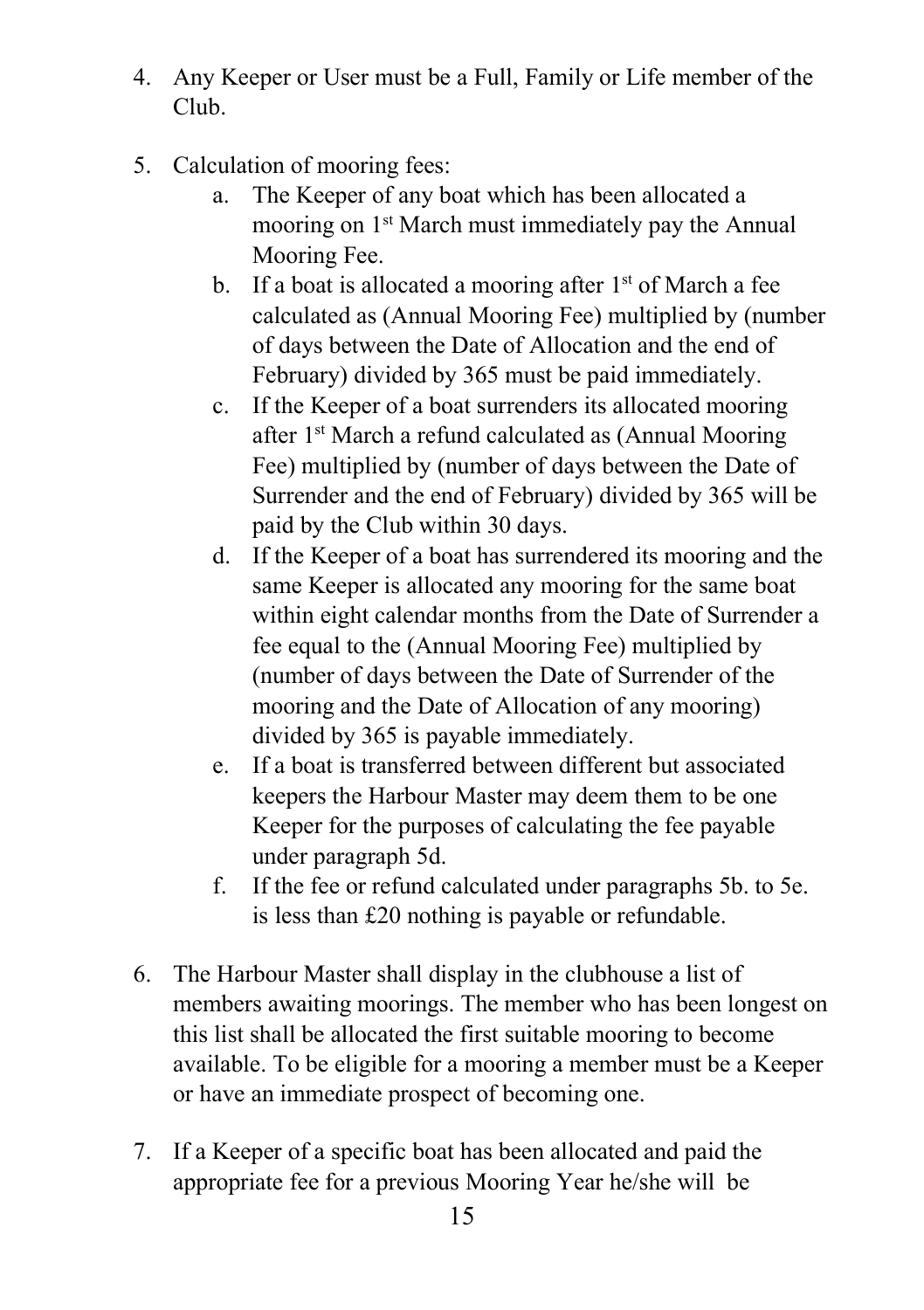- 4. Any Keeper or User must be a Full, Family or Life member of the Club.
- 5. Calculation of mooring fees:
	- a. The Keeper of any boat which has been allocated a mooring on 1<sup>st</sup> March must immediately pay the Annual Mooring Fee.
	- b. If a boat is allocated a mooring after  $1<sup>st</sup>$  of March a fee calculated as (Annual Mooring Fee) multiplied by (number of days between the Date of Allocation and the end of February) divided by 365 must be paid immediately.
	- c. If the Keeper of a boat surrenders its allocated mooring after 1st March a refund calculated as (Annual Mooring Fee) multiplied by (number of days between the Date of Surrender and the end of February) divided by 365 will be paid by the Club within 30 days.
	- d. If the Keeper of a boat has surrendered its mooring and the same Keeper is allocated any mooring for the same boat within eight calendar months from the Date of Surrender a fee equal to the (Annual Mooring Fee) multiplied by (number of days between the Date of Surrender of the mooring and the Date of Allocation of any mooring) divided by 365 is payable immediately.
	- e. If a boat is transferred between different but associated keepers the Harbour Master may deem them to be one Keeper for the purposes of calculating the fee payable under paragraph 5d.
	- f. If the fee or refund calculated under paragraphs 5b. to 5e. is less than £20 nothing is payable or refundable.
- 6. The Harbour Master shall display in the clubhouse a list of members awaiting moorings. The member who has been longest on this list shall be allocated the first suitable mooring to become available. To be eligible for a mooring a member must be a Keeper or have an immediate prospect of becoming one.
- 7. If a Keeper of a specific boat has been allocated and paid the appropriate fee for a previous Mooring Year he/she will be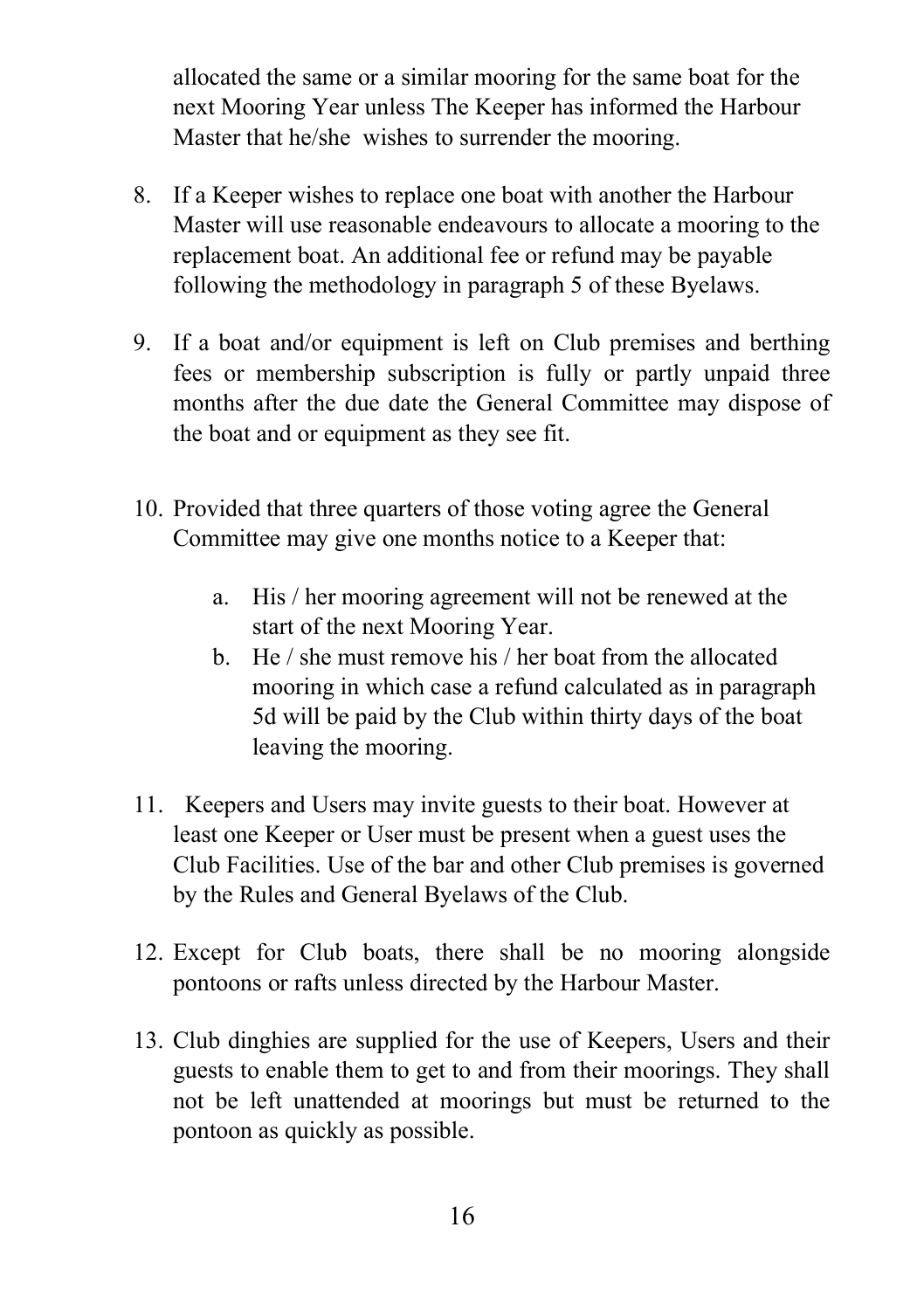allocated the same or a similar mooring for the same boat for the next Mooring Year unless The Keeper has informed the Harbour Master that he/she wishes to surrender the mooring.

- 8. If a Keeper wishes to replace one boat with another the Harbour Master will use reasonable endeavours to allocate a mooring to the replacement boat. An additional fee or refund may be payable following the methodology in paragraph 5 of these Byelaws.
- 9. If a boat and/or equipment is left on Club premises and berthing fees or membership subscription is fully or partly unpaid three months after the due date the General Committee may dispose of the boat and or equipment as they see fit.
- 10. Provided that three quarters of those voting agree the General Committee may give one months notice to a Keeper that:
	- a. His / her mooring agreement will not be renewed at the start of the next Mooring Year.
	- b. He / she must remove his / her boat from the allocated mooring in which case a refund calculated as in paragraph 5d will be paid by the Club within thirty days of the boat leaving the mooring.
- 11. Keepers and Users may invite guests to their boat. However at least one Keeper or User must be present when a guest uses the Club Facilities. Use of the bar and other Club premises is governed by the Rules and General Byelaws of the Club.
- 12. Except for Club boats, there shall be no mooring alongside pontoons or rafts unless directed by the Harbour Master.
- 13. Club dinghies are supplied for the use of Keepers, Users and their guests to enable them to get to and from their moorings. They shall not be left unattended at moorings but must be returned to the pontoon as quickly as possible.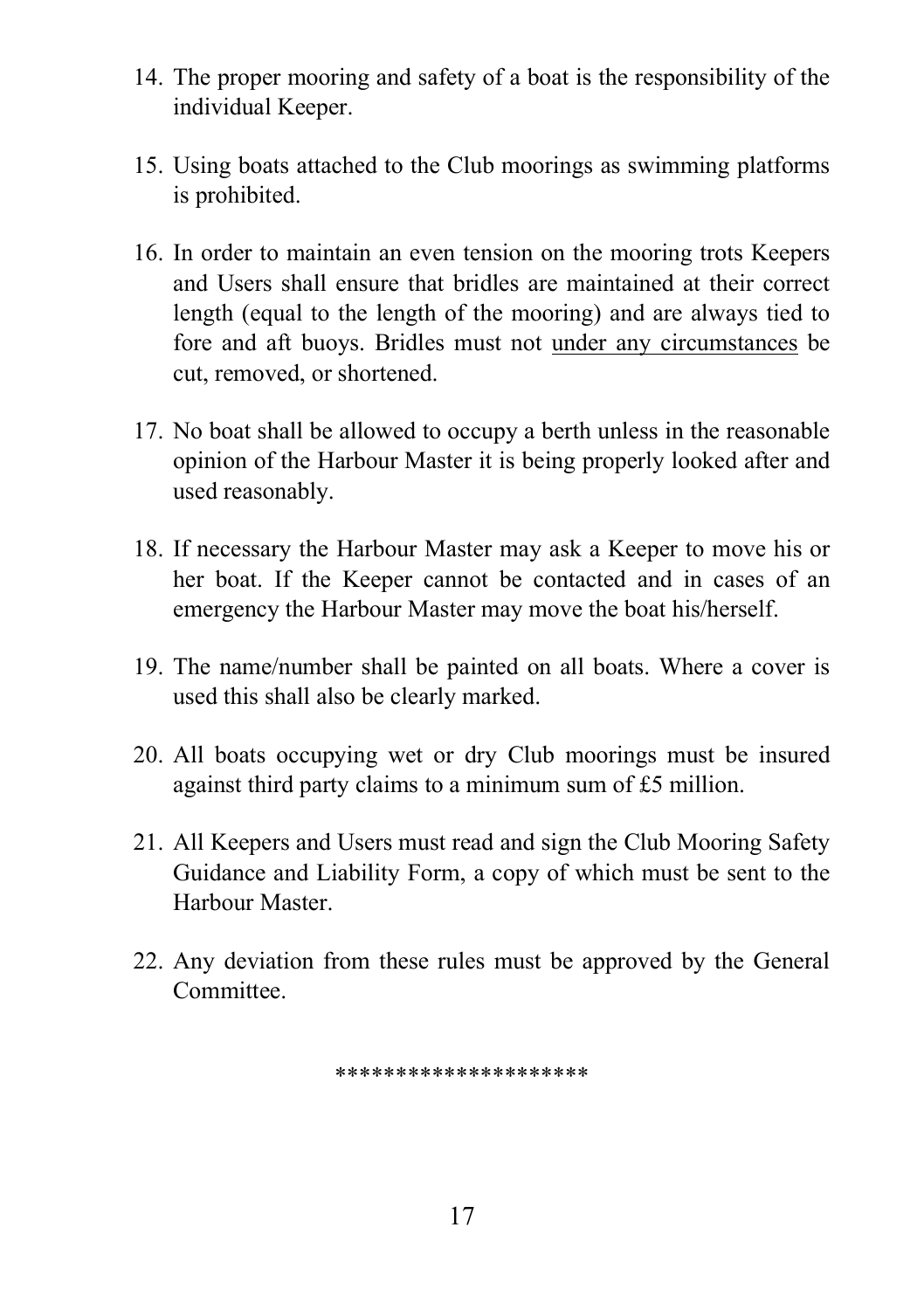- 14. The proper mooring and safety of a boat is the responsibility of the individual Keeper.
- 15. Using boats attached to the Club moorings as swimming platforms is prohibited.
- 16. In order to maintain an even tension on the mooring trots Keepers and Users shall ensure that bridles are maintained at their correct length (equal to the length of the mooring) and are always tied to fore and aft buoys. Bridles must not under any circumstances be cut, removed, or shortened.
- 17. No boat shall be allowed to occupy a berth unless in the reasonable opinion of the Harbour Master it is being properly looked after and used reasonably.
- 18. If necessary the Harbour Master may ask a Keeper to move his or her boat. If the Keeper cannot be contacted and in cases of an emergency the Harbour Master may move the boat his/herself.
- 19. The name/number shall be painted on all boats. Where a cover is used this shall also be clearly marked.
- 20. All boats occupying wet or dry Club moorings must be insured against third party claims to a minimum sum of £5 million.
- 21. All Keepers and Users must read and sign the Club Mooring Safety Guidance and Liability Form, a copy of which must be sent to the Harbour Master.
- 22. Any deviation from these rules must be approved by the General Committee.

\*\*\*\*\*\*\*\*\*\*\*\*\*\*\*\*\*\*\*\*\*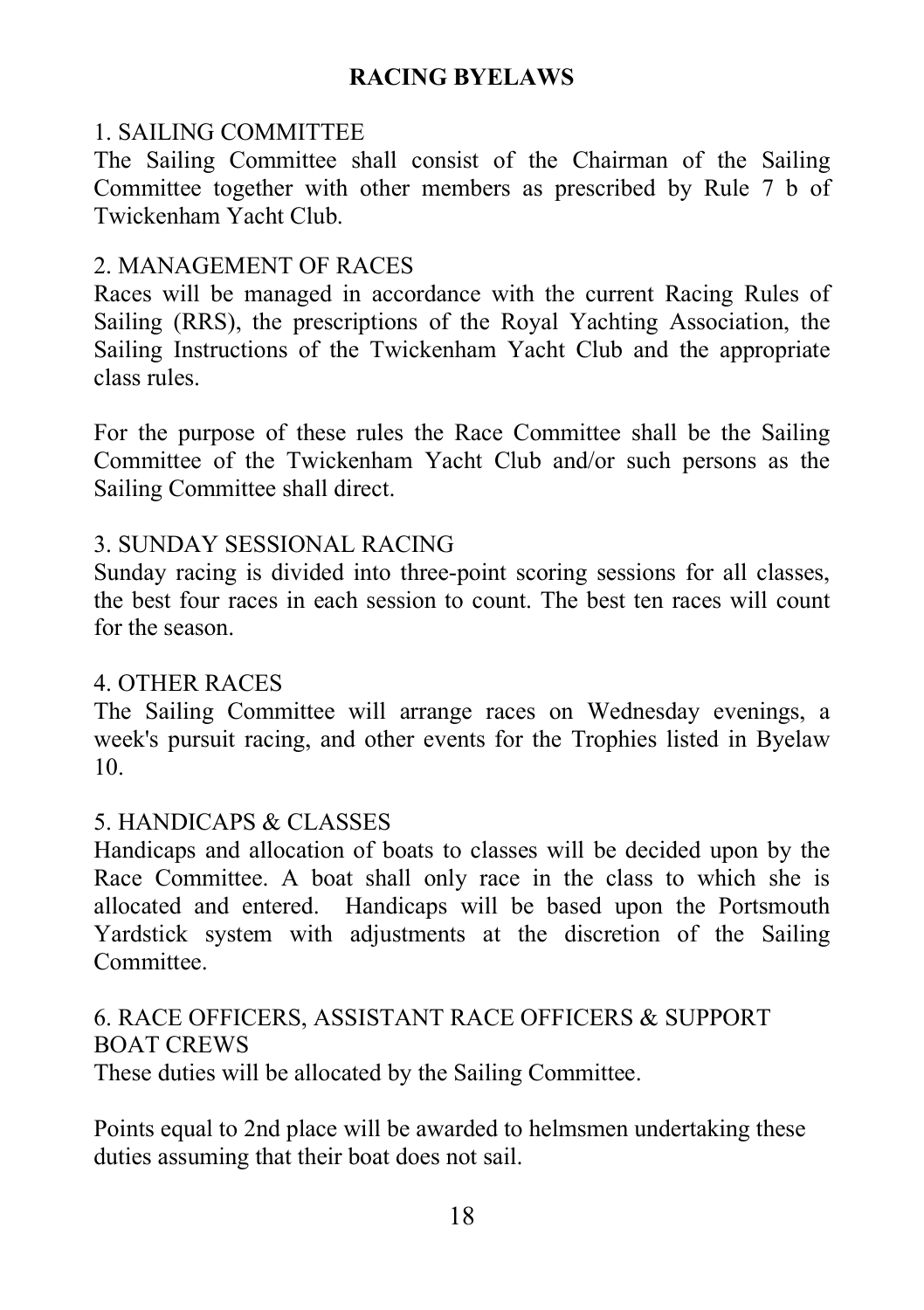# RACING BYELAWS

# 1. SAILING COMMITTEE

The Sailing Committee shall consist of the Chairman of the Sailing Committee together with other members as prescribed by Rule 7 b of Twickenham Yacht Club.

## 2. MANAGEMENT OF RACES

Races will be managed in accordance with the current Racing Rules of Sailing (RRS), the prescriptions of the Royal Yachting Association, the Sailing Instructions of the Twickenham Yacht Club and the appropriate class rules.

For the purpose of these rules the Race Committee shall be the Sailing Committee of the Twickenham Yacht Club and/or such persons as the Sailing Committee shall direct.

## 3. SUNDAY SESSIONAL RACING

Sunday racing is divided into three-point scoring sessions for all classes, the best four races in each session to count. The best ten races will count for the season.

## 4. OTHER RACES

The Sailing Committee will arrange races on Wednesday evenings, a week's pursuit racing, and other events for the Trophies listed in Byelaw 10.

## 5. HANDICAPS & CLASSES

Handicaps and allocation of boats to classes will be decided upon by the Race Committee. A boat shall only race in the class to which she is allocated and entered. Handicaps will be based upon the Portsmouth Yardstick system with adjustments at the discretion of the Sailing Committee.

## 6. RACE OFFICERS, ASSISTANT RACE OFFICERS & SUPPORT BOAT CREWS

These duties will be allocated by the Sailing Committee.

Points equal to 2nd place will be awarded to helmsmen undertaking these duties assuming that their boat does not sail.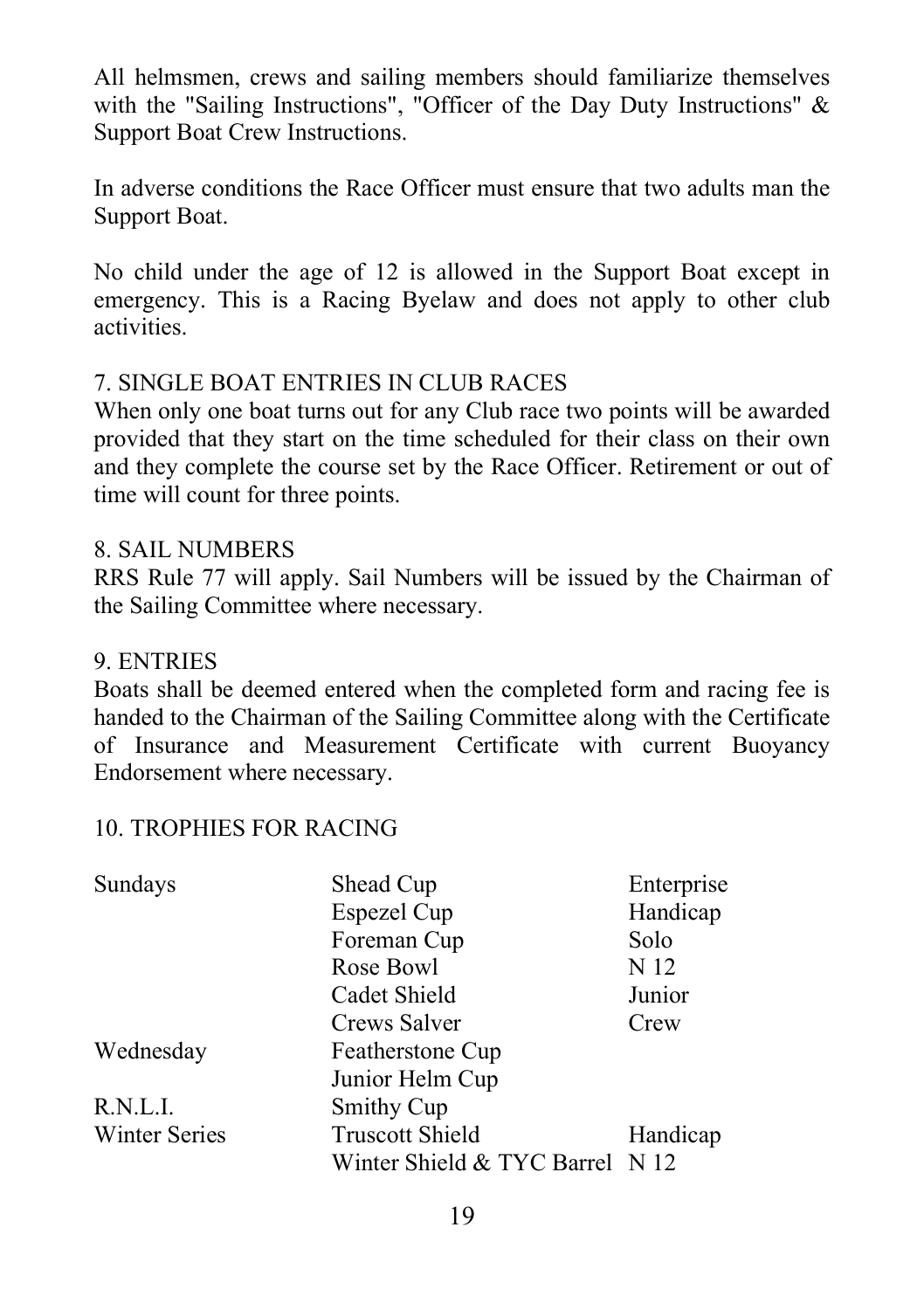All helmsmen, crews and sailing members should familiarize themselves with the "Sailing Instructions", "Officer of the Day Duty Instructions" & Support Boat Crew Instructions.

In adverse conditions the Race Officer must ensure that two adults man the Support Boat.

No child under the age of 12 is allowed in the Support Boat except in emergency. This is a Racing Byelaw and does not apply to other club activities.

### 7. SINGLE BOAT ENTRIES IN CLUB RACES

When only one boat turns out for any Club race two points will be awarded provided that they start on the time scheduled for their class on their own and they complete the course set by the Race Officer. Retirement or out of time will count for three points.

### 8. SAIL NUMBERS

RRS Rule 77 will apply. Sail Numbers will be issued by the Chairman of the Sailing Committee where necessary.

#### 9. ENTRIES

Boats shall be deemed entered when the completed form and racing fee is handed to the Chairman of the Sailing Committee along with the Certificate of Insurance and Measurement Certificate with current Buoyancy Endorsement where necessary.

## 10. TROPHIES FOR RACING

| Sundays              | Shead Cup                       | Enterprise |
|----------------------|---------------------------------|------------|
|                      | Espezel Cup                     | Handicap   |
|                      | Foreman Cup                     | Solo       |
|                      | Rose Bowl                       | N 12       |
|                      | Cadet Shield                    | Junior     |
|                      | Crews Salver                    | Crew       |
| Wednesday            | Featherstone Cup                |            |
|                      | Junior Helm Cup                 |            |
| R.N.L.I.             | Smithy Cup                      |            |
| <b>Winter Series</b> | <b>Truscott Shield</b>          | Handicap   |
|                      | Winter Shield & TYC Barrel N 12 |            |